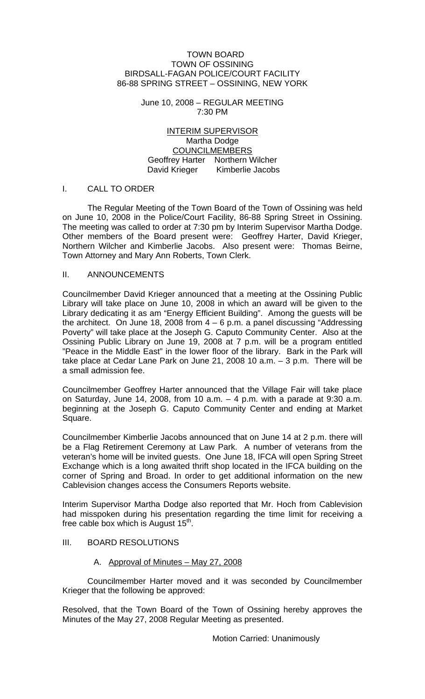#### TOWN BOARD TOWN OF OSSINING BIRDSALL-FAGAN POLICE/COURT FACILITY 86-88 SPRING STREET – OSSINING, NEW YORK

June 10, 2008 – REGULAR MEETING 7:30 PM

INTERIM SUPERVISOR Martha Dodge COUNCILMEMBERS Geoffrey Harter Northern Wilcher David Krieger Kimberlie Jacobs

### I. CALL TO ORDER

 The Regular Meeting of the Town Board of the Town of Ossining was held on June 10, 2008 in the Police/Court Facility, 86-88 Spring Street in Ossining. The meeting was called to order at 7:30 pm by Interim Supervisor Martha Dodge. Other members of the Board present were: Geoffrey Harter, David Krieger, Northern Wilcher and Kimberlie Jacobs. Also present were: Thomas Beirne, Town Attorney and Mary Ann Roberts, Town Clerk.

#### II. ANNOUNCEMENTS

Councilmember David Krieger announced that a meeting at the Ossining Public Library will take place on June 10, 2008 in which an award will be given to the Library dedicating it as am "Energy Efficient Building". Among the guests will be the architect. On June 18, 2008 from  $4 - 6$  p.m. a panel discussing "Addressing Poverty" will take place at the Joseph G. Caputo Community Center. Also at the Ossining Public Library on June 19, 2008 at 7 p.m. will be a program entitled "Peace in the Middle East" in the lower floor of the library. Bark in the Park will take place at Cedar Lane Park on June 21, 2008 10 a.m. – 3 p.m. There will be a small admission fee.

Councilmember Geoffrey Harter announced that the Village Fair will take place on Saturday, June 14, 2008, from 10 a.m.  $-$  4 p.m. with a parade at 9:30 a.m. beginning at the Joseph G. Caputo Community Center and ending at Market Square.

Councilmember Kimberlie Jacobs announced that on June 14 at 2 p.m. there will be a Flag Retirement Ceremony at Law Park. A number of veterans from the veteran's home will be invited guests. One June 18, IFCA will open Spring Street Exchange which is a long awaited thrift shop located in the IFCA building on the corner of Spring and Broad. In order to get additional information on the new Cablevision changes access the Consumers Reports website.

Interim Supervisor Martha Dodge also reported that Mr. Hoch from Cablevision had misspoken during his presentation regarding the time limit for receiving a free cable box which is August  $15<sup>th</sup>$ .

## III. BOARD RESOLUTIONS

## A. Approval of Minutes – May 27, 2008

Councilmember Harter moved and it was seconded by Councilmember Krieger that the following be approved:

Resolved, that the Town Board of the Town of Ossining hereby approves the Minutes of the May 27, 2008 Regular Meeting as presented.

Motion Carried: Unanimously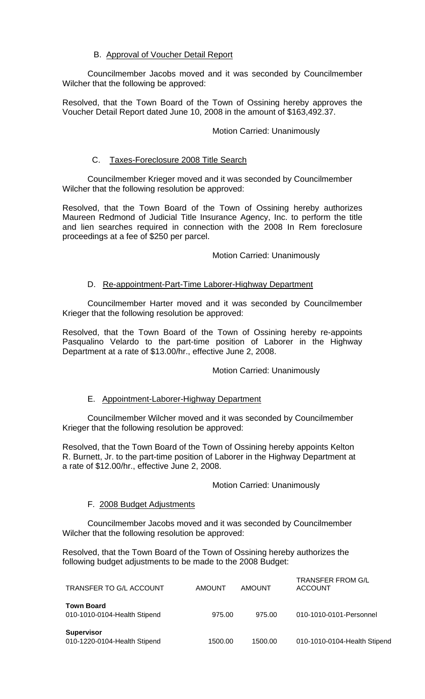# B. Approval of Voucher Detail Report

 Councilmember Jacobs moved and it was seconded by Councilmember Wilcher that the following be approved:

Resolved, that the Town Board of the Town of Ossining hereby approves the Voucher Detail Report dated June 10, 2008 in the amount of \$163,492.37.

## Motion Carried: Unanimously

## C. Taxes-Foreclosure 2008 Title Search

 Councilmember Krieger moved and it was seconded by Councilmember Wilcher that the following resolution be approved:

Resolved, that the Town Board of the Town of Ossining hereby authorizes Maureen Redmond of Judicial Title Insurance Agency, Inc. to perform the title and lien searches required in connection with the 2008 In Rem foreclosure proceedings at a fee of \$250 per parcel.

## Motion Carried: Unanimously

## D. Re-appointment-Part-Time Laborer-Highway Department

 Councilmember Harter moved and it was seconded by Councilmember Krieger that the following resolution be approved:

Resolved, that the Town Board of the Town of Ossining hereby re-appoints Pasqualino Velardo to the part-time position of Laborer in the Highway Department at a rate of \$13.00/hr., effective June 2, 2008.

Motion Carried: Unanimously

# E. Appointment-Laborer-Highway Department

 Councilmember Wilcher moved and it was seconded by Councilmember Krieger that the following resolution be approved:

Resolved, that the Town Board of the Town of Ossining hereby appoints Kelton R. Burnett, Jr. to the part-time position of Laborer in the Highway Department at a rate of \$12.00/hr., effective June 2, 2008.

### Motion Carried: Unanimously

### F. 2008 Budget Adjustments

 Councilmember Jacobs moved and it was seconded by Councilmember Wilcher that the following resolution be approved:

Resolved, that the Town Board of the Town of Ossining hereby authorizes the following budget adjustments to be made to the 2008 Budget:

| TRANSFER TO G/L ACCOUNT                           | AMOUNT  | AMOUNT  | <b>TRANSFER FROM G/L</b><br><b>ACCOUNT</b> |
|---------------------------------------------------|---------|---------|--------------------------------------------|
| <b>Town Board</b><br>010-1010-0104-Health Stipend | 975.00  | 975.00  | 010-1010-0101-Personnel                    |
| <b>Supervisor</b><br>010-1220-0104-Health Stipend | 1500.00 | 1500.00 | 010-1010-0104-Health Stipend               |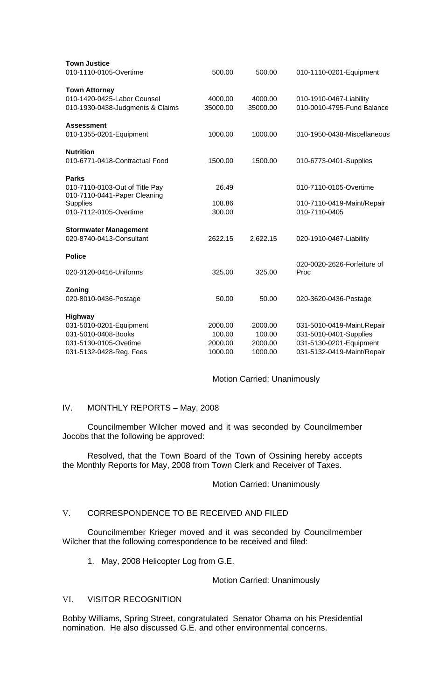| <b>Town Justice</b>              |          |          |                             |
|----------------------------------|----------|----------|-----------------------------|
| 010-1110-0105-Overtime           | 500.00   | 500.00   | 010-1110-0201-Equipment     |
| <b>Town Attorney</b>             |          |          |                             |
| 010-1420-0425-Labor Counsel      | 4000.00  | 4000.00  | 010-1910-0467-Liability     |
| 010-1930-0438-Judgments & Claims | 35000.00 | 35000.00 | 010-0010-4795-Fund Balance  |
| <b>Assessment</b>                |          |          |                             |
| 010-1355-0201-Equipment          | 1000.00  | 1000.00  | 010-1950-0438-Miscellaneous |
| <b>Nutrition</b>                 |          |          |                             |
| 010-6771-0418-Contractual Food   | 1500.00  | 1500.00  | 010-6773-0401-Supplies      |
| <b>Parks</b>                     |          |          |                             |
| 010-7110-0103-Out of Title Pay   | 26.49    |          | 010-7110-0105-Overtime      |
| 010-7110-0441-Paper Cleaning     |          |          |                             |
| <b>Supplies</b>                  | 108.86   |          | 010-7110-0419-Maint/Repair  |
| 010-7112-0105-Overtime           | 300.00   |          | 010-7110-0405               |
| <b>Stormwater Management</b>     |          |          |                             |
| 020-8740-0413-Consultant         | 2622.15  | 2,622.15 | 020-1910-0467-Liability     |
| <b>Police</b>                    |          |          |                             |
|                                  |          |          | 020-0020-2626-Forfeiture of |
| 020-3120-0416-Uniforms           | 325.00   | 325.00   | Proc                        |
| Zoning                           |          |          |                             |
| 020-8010-0436-Postage            | 50.00    | 50.00    | 020-3620-0436-Postage       |
| Highway                          |          |          |                             |
| 031-5010-0201-Equipment          | 2000.00  | 2000.00  | 031-5010-0419-Maint.Repair  |
| 031-5010-0408-Books              | 100.00   | 100.00   | 031-5010-0401-Supplies      |
| 031-5130-0105-Ovetime            | 2000.00  | 2000.00  | 031-5130-0201-Equipment     |
| 031-5132-0428-Reg. Fees          | 1000.00  | 1000.00  | 031-5132-0419-Maint/Repair  |

### Motion Carried: Unanimously

### IV. MONTHLY REPORTS – May, 2008

Councilmember Wilcher moved and it was seconded by Councilmember Jocobs that the following be approved:

Resolved, that the Town Board of the Town of Ossining hereby accepts the Monthly Reports for May, 2008 from Town Clerk and Receiver of Taxes.

### Motion Carried: Unanimously

### V. CORRESPONDENCE TO BE RECEIVED AND FILED

 Councilmember Krieger moved and it was seconded by Councilmember Wilcher that the following correspondence to be received and filed:

1. May, 2008 Helicopter Log from G.E.

Motion Carried: Unanimously

### VI. VISITOR RECOGNITION

Bobby Williams, Spring Street, congratulated Senator Obama on his Presidential nomination. He also discussed G.E. and other environmental concerns.